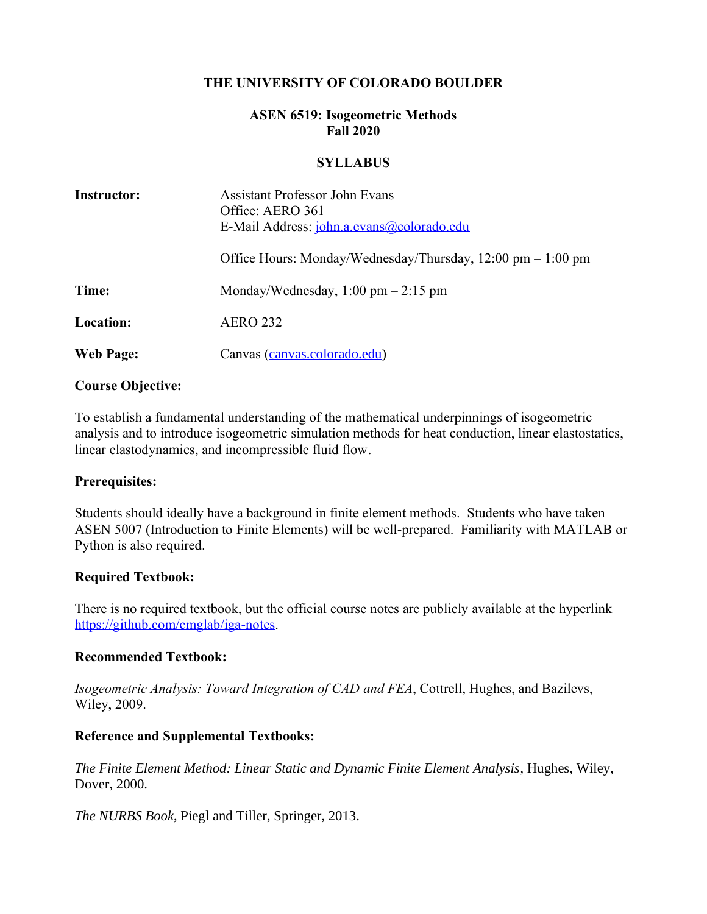### **THE UNIVERSITY OF COLORADO BOULDER**

### **ASEN 6519: Isogeometric Methods Fall 2020**

#### **SYLLABUS**

| <b>Instructor:</b> | <b>Assistant Professor John Evans</b><br>Office: AERO 361<br>E-Mail Address: <i>john.a.evans@colorado.edu</i> |
|--------------------|---------------------------------------------------------------------------------------------------------------|
|                    | Office Hours: Monday/Wednesday/Thursday, $12:00 \text{ pm} - 1:00 \text{ pm}$                                 |
| Time:              | Monday/Wednesday, $1:00 \text{ pm} - 2:15 \text{ pm}$                                                         |
| Location:          | <b>AERO 232</b>                                                                                               |
| Web Page:          | Canvas (canvas colorado edu)                                                                                  |

#### **Course Objective:**

To establish a fundamental understanding of the mathematical underpinnings of isogeometric analysis and to introduce isogeometric simulation methods for heat conduction, linear elastostatics, linear elastodynamics, and incompressible fluid flow.

#### **Prerequisites:**

Students should ideally have a background in finite element methods. Students who have taken ASEN 5007 (Introduction to Finite Elements) will be well-prepared. Familiarity with MATLAB or Python is also required.

### **Required Textbook:**

There is no required textbook, but the official course notes are publicly available at the hyperlink [https://github.com/cmglab/iga-notes.](https://github.com/cmglab/iga-notes)

#### **Recommended Textbook:**

*Isogeometric Analysis: Toward Integration of CAD and FEA*, Cottrell, Hughes, and Bazilevs, Wiley, 2009.

### **Reference and Supplemental Textbooks:**

*The Finite Element Method: Linear Static and Dynamic Finite Element Analysis*, Hughes, Wiley, Dover, 2000.

*The NURBS Book*, Piegl and Tiller, Springer, 2013.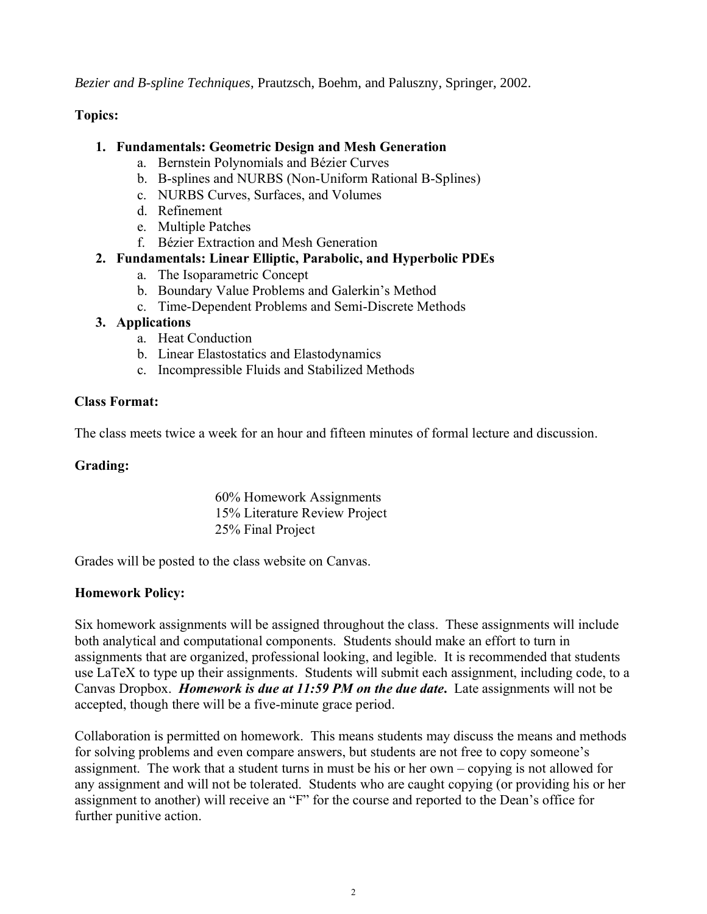*Bezier and B-spline Techniques*, Prautzsch, Boehm, and Paluszny, Springer, 2002.

## **Topics:**

### **1. Fundamentals: Geometric Design and Mesh Generation**

- a. Bernstein Polynomials and Bézier Curves
- b. B-splines and NURBS (Non-Uniform Rational B-Splines)
- c. NURBS Curves, Surfaces, and Volumes
- d. Refinement
- e. Multiple Patches
- f. Bézier Extraction and Mesh Generation

### **2. Fundamentals: Linear Elliptic, Parabolic, and Hyperbolic PDEs**

- a. The Isoparametric Concept
- b. Boundary Value Problems and Galerkin's Method
- c. Time-Dependent Problems and Semi-Discrete Methods

### **3. Applications**

- a. Heat Conduction
- b. Linear Elastostatics and Elastodynamics
- c. Incompressible Fluids and Stabilized Methods

### **Class Format:**

The class meets twice a week for an hour and fifteen minutes of formal lecture and discussion.

### **Grading:**

60% Homework Assignments 15% Literature Review Project 25% Final Project

Grades will be posted to the class website on Canvas.

## **Homework Policy:**

Six homework assignments will be assigned throughout the class. These assignments will include both analytical and computational components. Students should make an effort to turn in assignments that are organized, professional looking, and legible. It is recommended that students use LaTeX to type up their assignments. Students will submit each assignment, including code, to a Canvas Dropbox. *Homework is due at 11:59 PM on the due date***.** Late assignments will not be accepted, though there will be a five-minute grace period.

Collaboration is permitted on homework. This means students may discuss the means and methods for solving problems and even compare answers, but students are not free to copy someone's assignment. The work that a student turns in must be his or her own – copying is not allowed for any assignment and will not be tolerated. Students who are caught copying (or providing his or her assignment to another) will receive an "F" for the course and reported to the Dean's office for further punitive action.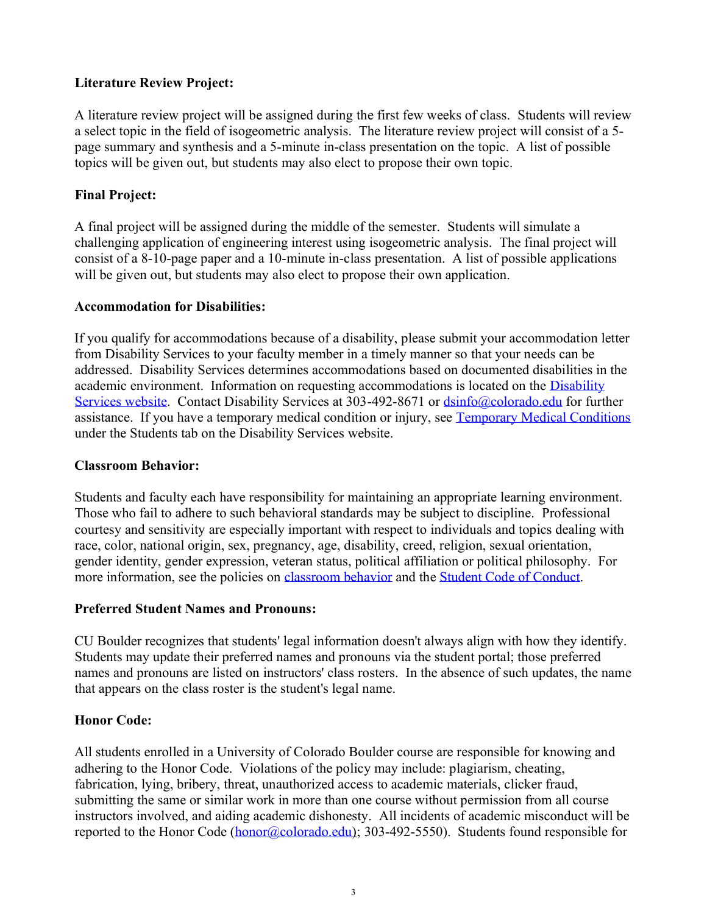# **Literature Review Project:**

A literature review project will be assigned during the first few weeks of class. Students will review a select topic in the field of isogeometric analysis. The literature review project will consist of a 5 page summary and synthesis and a 5-minute in-class presentation on the topic. A list of possible topics will be given out, but students may also elect to propose their own topic.

## **Final Project:**

A final project will be assigned during the middle of the semester. Students will simulate a challenging application of engineering interest using isogeometric analysis. The final project will consist of a 8-10-page paper and a 10-minute in-class presentation. A list of possible applications will be given out, but students may also elect to propose their own application.

## **Accommodation for Disabilities:**

If you qualify for accommodations because of a disability, please submit your accommodation letter from Disability Services to your faculty member in a timely manner so that your needs can be addressed. Disability Services determines accommodations based on documented disabilities in the academic environment. Information on requesting accommodations is located on the Disability [Services website.](http://www.colorado.edu/disabilityservices/students) Contact Disability Services at 303-492-8671 or [dsinfo@colorado.edu](mailto:dsinfo@colorado.edu) for further assistance. If you have a temporary medical condition or injury, see [Temporary Medical Conditions](http://www.colorado.edu/disabilityservices/students/temporary-medical-conditions) under the Students tab on the Disability Services website.

## **Classroom Behavior:**

Students and faculty each have responsibility for maintaining an appropriate learning environment. Those who fail to adhere to such behavioral standards may be subject to discipline. Professional courtesy and sensitivity are especially important with respect to individuals and topics dealing with race, color, national origin, sex, pregnancy, age, disability, creed, religion, sexual orientation, gender identity, gender expression, veteran status, political affiliation or political philosophy. For more information, see the policies on [classroom behavior](http://www.colorado.edu/policies/student-classroom-and-course-related-behavior) and the [Student Code of Conduct.](http://www.colorado.edu/osccr/)

## **Preferred Student Names and Pronouns:**

CU Boulder recognizes that students' legal information doesn't always align with how they identify. Students may update their preferred names and pronouns via the student portal; those preferred names and pronouns are listed on instructors' class rosters. In the absence of such updates, the name that appears on the class roster is the student's legal name.

## **Honor Code:**

All students enrolled in a University of Colorado Boulder course are responsible for knowing and adhering to the Honor Code. Violations of the policy may include: plagiarism, cheating, fabrication, lying, bribery, threat, unauthorized access to academic materials, clicker fraud, submitting the same or similar work in more than one course without permission from all course instructors involved, and aiding academic dishonesty. All incidents of academic misconduct will be reported to the Honor Code [\(honor@colorado.edu\)](mailto:honor@colorado.edu); 303-492-5550). Students found responsible for